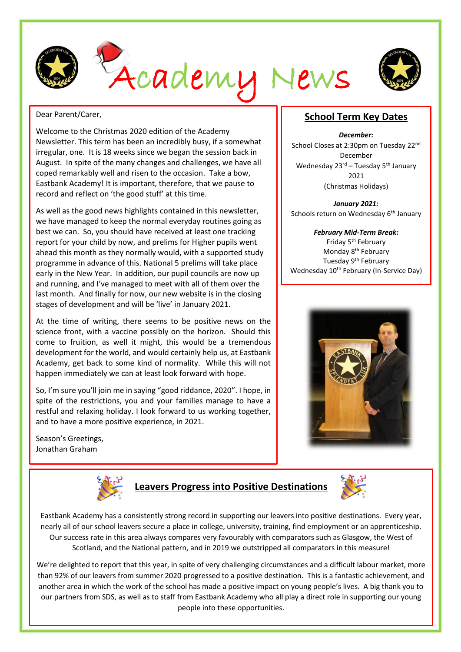



#### Dear Parent/Carer,

Welcome to the Christmas 2020 edition of the Academy Newsletter. This term has been an incredibly busy, if a somewhat irregular, one. It is 18 weeks since we began the session back in August. In spite of the many changes and challenges, we have all coped remarkably well and risen to the occasion. Take a bow, Eastbank Academy! It is important, therefore, that we pause to record and reflect on 'the good stuff' at this time.

As well as the good news highlights contained in this newsletter, we have managed to keep the normal everyday routines going as best we can. So, you should have received at least one tracking report for your child by now, and prelims for Higher pupils went ahead this month as they normally would, with a supported study programme in advance of this. National 5 prelims will take place early in the New Year. In addition, our pupil councils are now up and running, and I've managed to meet with all of them over the last month. And finally for now, our new website is in the closing stages of development and will be 'live' in January 2021.

At the time of writing, there seems to be positive news on the science front, with a vaccine possibly on the horizon. Should this come to fruition, as well it might, this would be a tremendous development for the world, and would certainly help us, at Eastbank Academy, get back to some kind of normality. While this will not happen immediately we can at least look forward with hope.

So, I'm sure you'll join me in saying "good riddance, 2020". I hope, in spite of the restrictions, you and your families manage to have a restful and relaxing holiday. I look forward to us working together, and to have a more positive experience, in 2021.

Season's Greetings, Jonathan Graham



# **Leavers Progress into Positive Destinations**



Eastbank Academy has a consistently strong record in supporting our leavers into positive destinations. Every year, nearly all of our school leavers secure a place in college, university, training, find employment or an apprenticeship. Our success rate in this area always compares very favourably with comparators such as Glasgow, the West of Scotland, and the National pattern, and in 2019 we outstripped all comparators in this measure!

We're delighted to report that this year, in spite of very challenging circumstances and a difficult labour market, more than 92% of our leavers from summer 2020 progressed to a positive destination. This is a fantastic achievement, and another area in which the work of the school has made a positive impact on young people's lives. A big thank you to our partners from SDS, as well as to staff from Eastbank Academy who all play a direct role in supporting our young people into these opportunities.

#### **School Term Key Dates**

*December:* School Closes at 2:30pm on Tuesday 22<sup>nd</sup> December Wednesday 23<sup>rd</sup> – Tuesday 5<sup>th</sup> January 2021 (Christmas Holidays)

*January 2021:* Schools return on Wednesday 6<sup>th</sup> January

*February Mid-Term Break:* Friday 5<sup>th</sup> February Monday 8<sup>th</sup> February Tuesday 9<sup>th</sup> February Wednesday 10<sup>th</sup> February (In-Service Day)

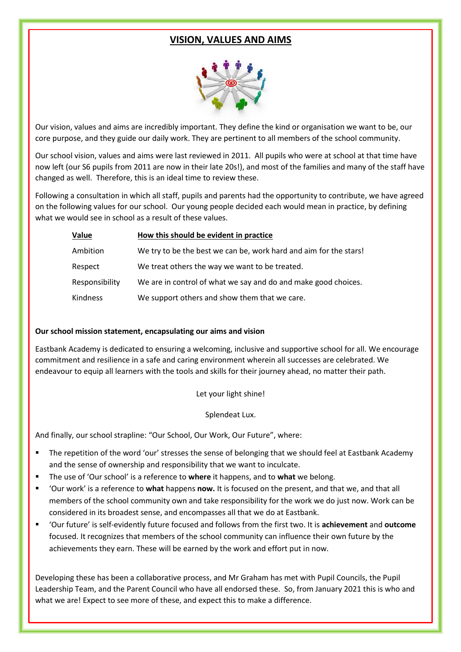### **VISION, VALUES AND AIMS**



Our vision, values and aims are incredibly important. They define the kind or organisation we want to be, our core purpose, and they guide our daily work. They are pertinent to all members of the school community.

Our school vision, values and aims were last reviewed in 2011. All pupils who were at school at that time have now left (our S6 pupils from 2011 are now in their late 20s!), and most of the families and many of the staff have changed as well. Therefore, this is an ideal time to review these.

Following a consultation in which all staff, pupils and parents had the opportunity to contribute, we have agreed on the following values for our school. Our young people decided each would mean in practice, by defining what we would see in school as a result of these values.

| <b>Value</b>   | How this should be evident in practice                            |
|----------------|-------------------------------------------------------------------|
| Ambition       | We try to be the best we can be, work hard and aim for the stars! |
| Respect        | We treat others the way we want to be treated.                    |
| Responsibility | We are in control of what we say and do and make good choices.    |
| Kindness       | We support others and show them that we care.                     |

#### **Our school mission statement, encapsulating our aims and vision**

Eastbank Academy is dedicated to ensuring a welcoming, inclusive and supportive school for all. We encourage commitment and resilience in a safe and caring environment wherein all successes are celebrated. We endeavour to equip all learners with the tools and skills for their journey ahead, no matter their path.

Let your light shine!

Splendeat Lux.

And finally, our school strapline: "Our School, Our Work, Our Future", where:

- The repetition of the word 'our' stresses the sense of belonging that we should feel at Eastbank Academy and the sense of ownership and responsibility that we want to inculcate.
- The use of 'Our school' is a reference to where it happens, and to what we belong.
- 'Our work' is a reference to **what** happens **now.** It is focused on the present, and that we, and that all members of the school community own and take responsibility for the work we do just now. Work can be considered in its broadest sense, and encompasses all that we do at Eastbank.
- 'Our future' is self-evidently future focused and follows from the first two. It is **achievement** and **outcome** focused. It recognizes that members of the school community can influence their own future by the achievements they earn. These will be earned by the work and effort put in now.

Developing these has been a collaborative process, and Mr Graham has met with Pupil Councils, the Pupil Leadership Team, and the Parent Council who have all endorsed these. So, from January 2021 this is who and what we are! Expect to see more of these, and expect this to make a difference.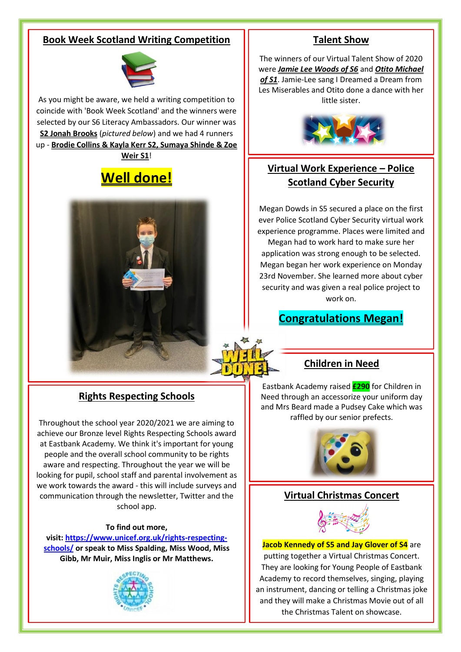### **Book Week Scotland Writing Competition**



As you might be aware, we held a writing competition to coincide with 'Book Week Scotland' and the winners were selected by our S6 Literacy Ambassadors. Our winner was **S2 Jonah Brooks** (*pictured below*) and we had 4 runners up - **Brodie Collins & Kayla Kerr S2, Sumaya Shinde & Zoe Weir S1**!

# **Well done!**



### **Rights Respecting Schools**

Throughout the school year 2020/2021 we are aiming to achieve our Bronze level Rights Respecting Schools award at Eastbank Academy. We think it's important for young people and the overall school community to be rights aware and respecting. Throughout the year we will be looking for pupil, school staff and parental involvement as we work towards the award - this will include surveys and communication through the newsletter, Twitter and the school app.

#### **To find out more,**

**visit: [https://www.unicef.org.uk/rights-respecting](https://www.unicef.org.uk/rights-respecting-schools/)[schools/](https://www.unicef.org.uk/rights-respecting-schools/) or speak to Miss Spalding, Miss Wood, Miss Gibb, Mr Muir, Miss Inglis or Mr Matthews.**



### **Talent Show**

The winners of our Virtual Talent Show of 2020 were *Jamie Lee Woods of S6* and *Otito Michael of S1*. Jamie-Lee sang I Dreamed a Dream from Les Miserables and Otito done a dance with her little sister.



## **Virtual Work Experience – Police Scotland Cyber Security**

Megan Dowds in S5 secured a place on the first ever Police Scotland Cyber Security virtual work experience programme. Places were limited and

Megan had to work hard to make sure her application was strong enough to be selected. Megan began her work experience on Monday 23rd November. She learned more about cyber security and was given a real police project to work on.

### **Congratulations Megan!**

### **Children in Need**

Eastbank Academy raised **£290** for Children in Need through an accessorize your uniform day and Mrs Beard made a Pudsey Cake which was raffled by our senior prefects.



### **Virtual Christmas Concert**



**Jacob Kennedy of S5 and Jay Glover of S4** are putting together a Virtual Christmas Concert. They are looking for Young People of Eastbank Academy to record themselves, singing, playing an instrument, dancing or telling a Christmas joke and they will make a Christmas Movie out of all the Christmas Talent on showcase.